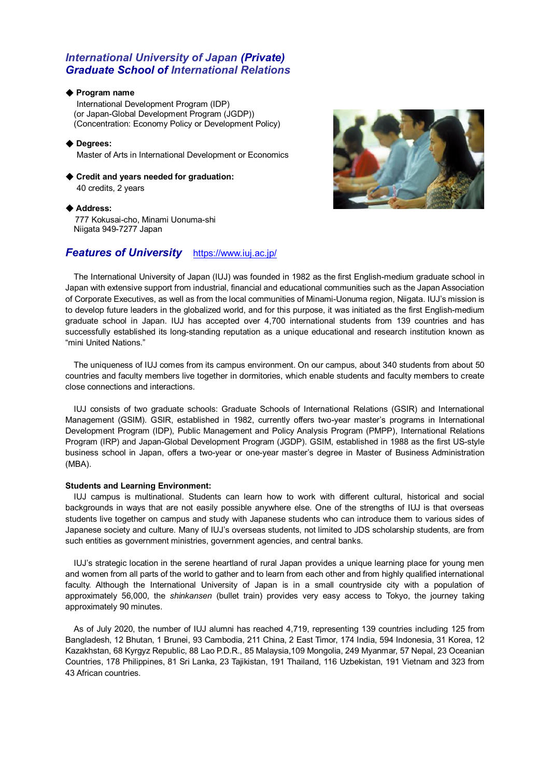# *International University of Japan (Private) Graduate School of International Relations*

#### ◆ **Program name**

 International Development Program (IDP) (or Japan-Global Development Program (JGDP)) (Concentration: Economy Policy or Development Policy)

◆ **Degrees:** Master of Arts in International Development or Economics

◆ **Credit and years needed for graduation:**  40 credits, 2 years

◆ **Address:**

777 Kokusai-cho, Minami Uonuma-shi Niigata 949-7277 Japan

# *Features of University* <https://www.iuj.ac.jp/>



The International University of Japan (IUJ) was founded in 1982 as the first English-medium graduate school in Japan with extensive support from industrial, financial and educational communities such as the Japan Association of Corporate Executives, as well as from the local communities of Minami-Uonuma region, Niigata. IUJ's mission is to develop future leaders in the globalized world, and for this purpose, it was initiated as the first English-medium graduate school in Japan. IUJ has accepted over 4,700 international students from 139 countries and has successfully established its long-standing reputation as a unique educational and research institution known as "mini United Nations."

The uniqueness of IUJ comes from its campus environment. On our campus, about 340 students from about 50 countries and faculty members live together in dormitories, which enable students and faculty members to create close connections and interactions.

IUJ consists of two graduate schools: Graduate Schools of International Relations (GSIR) and International Management (GSIM). GSIR, established in 1982, currently offers two-year master's programs in International Development Program (IDP), Public Management and Policy Analysis Program (PMPP), International Relations Program (IRP) and Japan-Global Development Program (JGDP). GSIM, established in 1988 as the first US-style business school in Japan, offers a two-year or one-year master's degree in Master of Business Administration (MBA).

## **Students and Learning Environment:**

IUJ campus is multinational. Students can learn how to work with different cultural, historical and social backgrounds in ways that are not easily possible anywhere else. One of the strengths of IUJ is that overseas students live together on campus and study with Japanese students who can introduce them to various sides of Japanese society and culture. Many of IUJ's overseas students, not limited to JDS scholarship students, are from such entities as government ministries, government agencies, and central banks.

IUJ's strategic location in the serene heartland of rural Japan provides a unique learning place for young men and women from all parts of the world to gather and to learn from each other and from highly qualified international faculty. Although the International University of Japan is in a small countryside city with a population of approximately 56,000, the *shinkansen* (bullet train) provides very easy access to Tokyo, the journey taking approximately 90 minutes.

As of July 2020, the number of IUJ alumni has reached 4,719, representing 139 countries including 125 from Bangladesh, 12 Bhutan, 1 Brunei, 93 Cambodia, 211 China, 2 East Timor, 174 India, 594 Indonesia, 31 Korea, 12 Kazakhstan, 68 Kyrgyz Republic, 88 Lao P.D.R., 85 Malaysia,109 Mongolia, 249 Myanmar, 57 Nepal, 23 Oceanian Countries, 178 Philippines, 81 Sri Lanka, 23 Tajikistan, 191 Thailand, 116 Uzbekistan, 191 Vietnam and 323 from 43 African countries.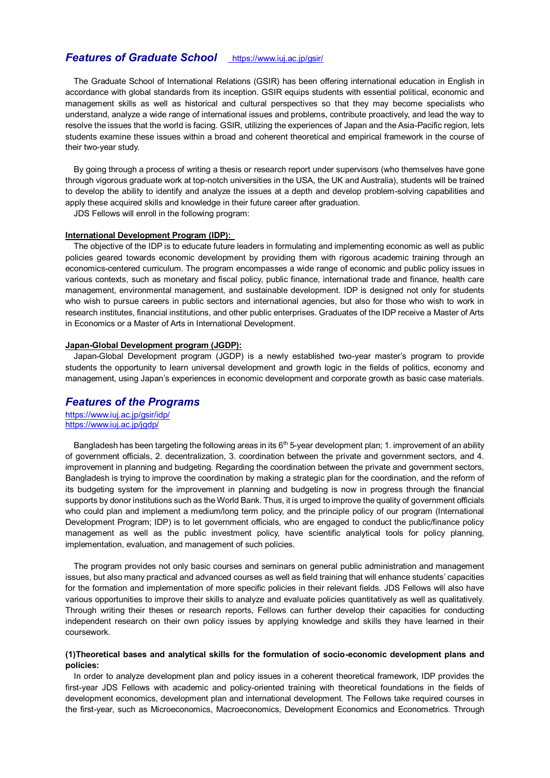# *Features of Graduate School* <https://www.iuj.ac.jp/gsir/>

The Graduate School of International Relations (GSIR) has been offering international education in English in accordance with global standards from its inception. GSIR equips students with essential political, economic and management skills as well as historical and cultural perspectives so that they may become specialists who understand, analyze a wide range of international issues and problems, contribute proactively, and lead the way to resolve the issues that the world is facing. GSIR, utilizing the experiences of Japan and the Asia-Pacific region, lets students examine these issues within a broad and coherent theoretical and empirical framework in the course of their two-year study.

By going through a process of writing a thesis or research report under supervisors (who themselves have gone through vigorous graduate work at top-notch universities in the USA, the UK and Australia), students will be trained to develop the ability to identify and analyze the issues at a depth and develop problem-solving capabilities and apply these acquired skills and knowledge in their future career after graduation.

JDS Fellows will enroll in the following program:

#### **International Development Program (IDP):**

The objective of the IDP is to educate future leaders in formulating and implementing economic as well as public policies geared towards economic development by providing them with rigorous academic training through an economics-centered curriculum. The program encompasses a wide range of economic and public policy issues in various contexts, such as monetary and fiscal policy, public finance, international trade and finance, health care management, environmental management, and sustainable development. IDP is designed not only for students who wish to pursue careers in public sectors and international agencies, but also for those who wish to work in research institutes, financial institutions, and other public enterprises. Graduates of the IDP receive a Master of Arts in Economics or a Master of Arts in International Development.

#### **Japan-Global Development program (JGDP):**

 Japan-Global Development program (JGDP) is a newly established two-year master's program to provide students the opportunity to learn universal development and growth logic in the fields of politics, economy and management, using Japan's experiences in economic development and corporate growth as basic case materials.

## *Features of the Programs*

<https://www.iuj.ac.jp/gsir/idp/> <https://www.iuj.ac.jp/jgdp/>

Bangladesh has been targeting the following areas in its 6<sup>th</sup> 5-year development plan; 1. improvement of an ability of government officials, 2. decentralization, 3. coordination between the private and government sectors, and 4. improvement in planning and budgeting. Regarding the coordination between the private and government sectors, Bangladesh is trying to improve the coordination by making a strategic plan for the coordination, and the reform of its budgeting system for the improvement in planning and budgeting is now in progress through the financial supports by donor institutions such as the World Bank. Thus, it is urged to improve the quality of government officials who could plan and implement a medium/long term policy, and the principle policy of our program (International Development Program; IDP) is to let government officials, who are engaged to conduct the public/finance policy management as well as the public investment policy, have scientific analytical tools for policy planning, implementation, evaluation, and management of such policies.

The program provides not only basic courses and seminars on general public administration and management issues, but also many practical and advanced courses as well as field training that will enhance students' capacities for the formation and implementation of more specific policies in their relevant fields. JDS Fellows will also have various opportunities to improve their skills to analyze and evaluate policies quantitatively as well as qualitatively. Through writing their theses or research reports, Fellows can further develop their capacities for conducting independent research on their own policy issues by applying knowledge and skills they have learned in their coursework.

#### **(1)Theoretical bases and analytical skills for the formulation of socio-economic development plans and policies:**

In order to analyze development plan and policy issues in a coherent theoretical framework, IDP provides the first-year JDS Fellows with academic and policy-oriented training with theoretical foundations in the fields of development economics, development plan and international development. The Fellows take required courses in the first-year, such as Microeconomics, Macroeconomics, Development Economics and Econometrics. Through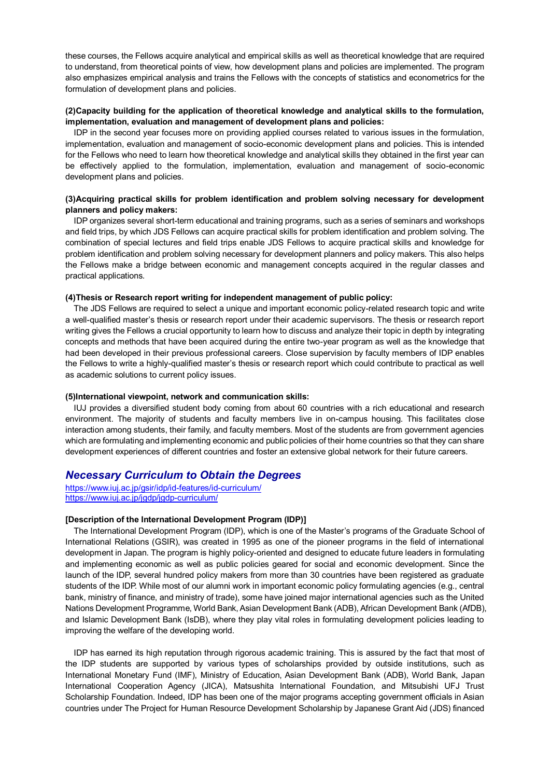these courses, the Fellows acquire analytical and empirical skills as well as theoretical knowledge that are required to understand, from theoretical points of view, how development plans and policies are implemented. The program also emphasizes empirical analysis and trains the Fellows with the concepts of statistics and econometrics for the formulation of development plans and policies.

### **(2)Capacity building for the application of theoretical knowledge and analytical skills to the formulation, implementation, evaluation and management of development plans and policies:**

IDP in the second year focuses more on providing applied courses related to various issues in the formulation, implementation, evaluation and management of socio-economic development plans and policies. This is intended for the Fellows who need to learn how theoretical knowledge and analytical skills they obtained in the first year can be effectively applied to the formulation, implementation, evaluation and management of socio-economic development plans and policies.

### **(3)Acquiring practical skills for problem identification and problem solving necessary for development planners and policy makers:**

IDP organizes several short-term educational and training programs, such as a series of seminars and workshops and field trips, by which JDS Fellows can acquire practical skills for problem identification and problem solving. The combination of special lectures and field trips enable JDS Fellows to acquire practical skills and knowledge for problem identification and problem solving necessary for development planners and policy makers. This also helps the Fellows make a bridge between economic and management concepts acquired in the regular classes and practical applications.

#### **(4)Thesis or Research report writing for independent management of public policy:**

The JDS Fellows are required to select a unique and important economic policy-related research topic and write a well-qualified master's thesis or research report under their academic supervisors. The thesis or research report writing gives the Fellows a crucial opportunity to learn how to discuss and analyze their topic in depth by integrating concepts and methods that have been acquired during the entire two-year program as well as the knowledge that had been developed in their previous professional careers. Close supervision by faculty members of IDP enables the Fellows to write a highly-qualified master's thesis or research report which could contribute to practical as well as academic solutions to current policy issues.

#### **(5)International viewpoint, network and communication skills:**

IUJ provides a diversified student body coming from about 60 countries with a rich educational and research environment. The majority of students and faculty members live in on-campus housing. This facilitates close interaction among students, their family, and faculty members. Most of the students are from government agencies which are formulating and implementing economic and public policies of their home countries so that they can share development experiences of different countries and foster an extensive global network for their future careers.

## *Necessary Curriculum to Obtain the Degrees*

<https://www.iuj.ac.jp/gsir/idp/id-features/id-curriculum/> <https://www.iuj.ac.jp/jgdp/jgdp-curriculum/>

### **[Description of the International Development Program (IDP)]**

The International Development Program (IDP), which is one of the Master's programs of the Graduate School of International Relations (GSIR), was created in 1995 as one of the pioneer programs in the field of international development in Japan. The program is highly policy-oriented and designed to educate future leaders in formulating and implementing economic as well as public policies geared for social and economic development. Since the launch of the IDP, several hundred policy makers from more than 30 countries have been registered as graduate students of the IDP. While most of our alumni work in important economic policy formulating agencies (e.g., central bank, ministry of finance, and ministry of trade), some have joined major international agencies such as the United Nations Development Programme, World Bank, Asian Development Bank (ADB), African Development Bank (AfDB), and Islamic Development Bank (IsDB), where they play vital roles in formulating development policies leading to improving the welfare of the developing world.

IDP has earned its high reputation through rigorous academic training. This is assured by the fact that most of the IDP students are supported by various types of scholarships provided by outside institutions, such as International Monetary Fund (IMF), Ministry of Education, Asian Development Bank (ADB), World Bank, Japan International Cooperation Agency (JICA), Matsushita International Foundation, and Mitsubishi UFJ Trust Scholarship Foundation. Indeed, IDP has been one of the major programs accepting government officials in Asian countries under The Project for Human Resource Development Scholarship by Japanese Grant Aid (JDS) financed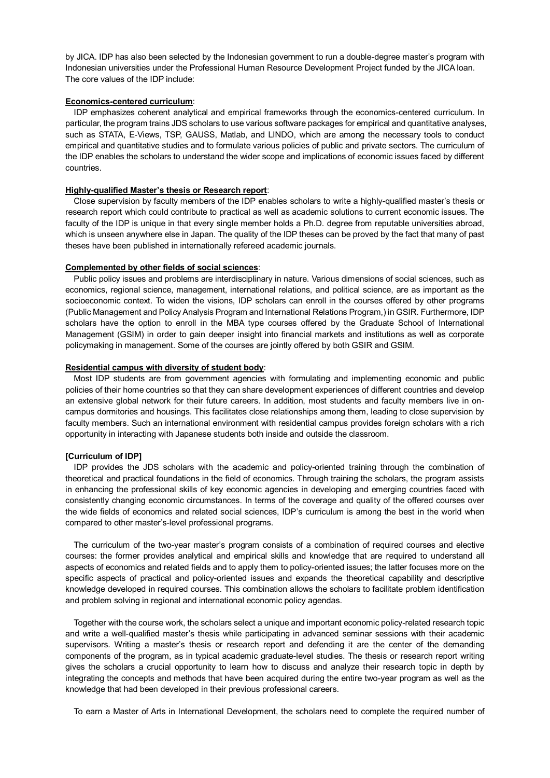by JICA. IDP has also been selected by the Indonesian government to run a double-degree master's program with Indonesian universities under the Professional Human Resource Development Project funded by the JICA loan. The core values of the IDP include:

#### **Economics-centered curriculum**:

IDP emphasizes coherent analytical and empirical frameworks through the economics-centered curriculum. In particular, the program trains JDS scholars to use various software packages for empirical and quantitative analyses, such as STATA, E-Views, TSP, GAUSS, Matlab, and LINDO, which are among the necessary tools to conduct empirical and quantitative studies and to formulate various policies of public and private sectors. The curriculum of the IDP enables the scholars to understand the wider scope and implications of economic issues faced by different countries.

## **Highly-qualified Master's thesis or Research report**:

Close supervision by faculty members of the IDP enables scholars to write a highly-qualified master's thesis or research report which could contribute to practical as well as academic solutions to current economic issues. The faculty of the IDP is unique in that every single member holds a Ph.D. degree from reputable universities abroad, which is unseen anywhere else in Japan. The quality of the IDP theses can be proved by the fact that many of past theses have been published in internationally refereed academic journals.

### **Complemented by other fields of social sciences**:

Public policy issues and problems are interdisciplinary in nature. Various dimensions of social sciences, such as economics, regional science, management, international relations, and political science, are as important as the socioeconomic context. To widen the visions, IDP scholars can enroll in the courses offered by other programs (Public Management and Policy Analysis Program and International Relations Program,) in GSIR. Furthermore, IDP scholars have the option to enroll in the MBA type courses offered by the Graduate School of International Management (GSIM) in order to gain deeper insight into financial markets and institutions as well as corporate policymaking in management. Some of the courses are jointly offered by both GSIR and GSIM.

### **Residential campus with diversity of student body**:

Most IDP students are from government agencies with formulating and implementing economic and public policies of their home countries so that they can share development experiences of different countries and develop an extensive global network for their future careers. In addition, most students and faculty members live in oncampus dormitories and housings. This facilitates close relationships among them, leading to close supervision by faculty members. Such an international environment with residential campus provides foreign scholars with a rich opportunity in interacting with Japanese students both inside and outside the classroom.

## **[Curriculum of IDP]**

IDP provides the JDS scholars with the academic and policy-oriented training through the combination of theoretical and practical foundations in the field of economics. Through training the scholars, the program assists in enhancing the professional skills of key economic agencies in developing and emerging countries faced with consistently changing economic circumstances. In terms of the coverage and quality of the offered courses over the wide fields of economics and related social sciences, IDP's curriculum is among the best in the world when compared to other master's-level professional programs.

The curriculum of the two-year master's program consists of a combination of required courses and elective courses: the former provides analytical and empirical skills and knowledge that are required to understand all aspects of economics and related fields and to apply them to policy-oriented issues; the latter focuses more on the specific aspects of practical and policy-oriented issues and expands the theoretical capability and descriptive knowledge developed in required courses. This combination allows the scholars to facilitate problem identification and problem solving in regional and international economic policy agendas.

Together with the course work, the scholars select a unique and important economic policy-related research topic and write a well-qualified master's thesis while participating in advanced seminar sessions with their academic supervisors. Writing a master's thesis or research report and defending it are the center of the demanding components of the program, as in typical academic graduate-level studies. The thesis or research report writing gives the scholars a crucial opportunity to learn how to discuss and analyze their research topic in depth by integrating the concepts and methods that have been acquired during the entire two-year program as well as the knowledge that had been developed in their previous professional careers.

To earn a Master of Arts in International Development, the scholars need to complete the required number of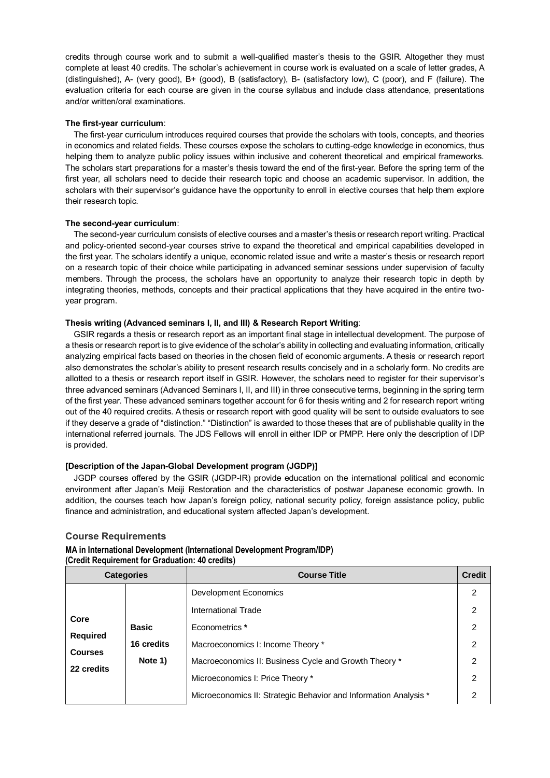credits through course work and to submit a well-qualified master's thesis to the GSIR. Altogether they must complete at least 40 credits. The scholar's achievement in course work is evaluated on a scale of letter grades, A (distinguished), A- (very good), B+ (good), B (satisfactory), B- (satisfactory low), C (poor), and F (failure). The evaluation criteria for each course are given in the course syllabus and include class attendance, presentations and/or written/oral examinations.

## **The first-year curriculum**:

The first-year curriculum introduces required courses that provide the scholars with tools, concepts, and theories in economics and related fields. These courses expose the scholars to cutting-edge knowledge in economics, thus helping them to analyze public policy issues within inclusive and coherent theoretical and empirical frameworks. The scholars start preparations for a master's thesis toward the end of the first-year. Before the spring term of the first year, all scholars need to decide their research topic and choose an academic supervisor. In addition, the scholars with their supervisor's guidance have the opportunity to enroll in elective courses that help them explore their research topic.

### **The second-year curriculum**:

The second-year curriculum consists of elective courses and a master's thesis or research report writing. Practical and policy-oriented second-year courses strive to expand the theoretical and empirical capabilities developed in the first year. The scholars identify a unique, economic related issue and write a master's thesis or research report on a research topic of their choice while participating in advanced seminar sessions under supervision of faculty members. Through the process, the scholars have an opportunity to analyze their research topic in depth by integrating theories, methods, concepts and their practical applications that they have acquired in the entire twoyear program.

### **Thesis writing (Advanced seminars I, II, and III) & Research Report Writing**:

GSIR regards a thesis or research report as an important final stage in intellectual development. The purpose of a thesis or research report is to give evidence of the scholar's ability in collecting and evaluating information, critically analyzing empirical facts based on theories in the chosen field of economic arguments. A thesis or research report also demonstrates the scholar's ability to present research results concisely and in a scholarly form. No credits are allotted to a thesis or research report itself in GSIR. However, the scholars need to register for their supervisor's three advanced seminars (Advanced Seminars I, II, and III) in three consecutive terms, beginning in the spring term of the first year. These advanced seminars together account for 6 for thesis writing and 2 for research report writing out of the 40 required credits. A thesis or research report with good quality will be sent to outside evaluators to see if they deserve a grade of "distinction." "Distinction" is awarded to those theses that are of publishable quality in the international referred journals. The JDS Fellows will enroll in either IDP or PMPP. Here only the description of IDP is provided.

## **[Description of the Japan-Global Development program (JGDP)]**

JGDP courses offered by the GSIR (JGDP-IR) provide education on the international political and economic environment after Japan's Meiji Restoration and the characteristics of postwar Japanese economic growth. In addition, the courses teach how Japan's foreign policy, national security policy, foreign assistance policy, public finance and administration, and educational system affected Japan's development.

## **Course Requirements**

## **MA in International Development (International Development Program/IDP) (Credit Requirement for Graduation: 40 credits)**

| <b>Categories</b>                                       |              | <b>Course Title</b>                                              | <b>Credit</b>  |
|---------------------------------------------------------|--------------|------------------------------------------------------------------|----------------|
|                                                         |              | Development Economics                                            | 2              |
|                                                         |              | International Trade                                              | 2              |
| Core<br><b>Required</b><br><b>Courses</b><br>22 credits | <b>Basic</b> | Econometrics *                                                   | $\overline{2}$ |
|                                                         | 16 credits   | Macroeconomics I: Income Theory *                                | 2              |
|                                                         | Note 1)      | Macroeconomics II: Business Cycle and Growth Theory *            | $\mathcal{P}$  |
|                                                         |              | Microeconomics I: Price Theory *                                 | 2              |
|                                                         |              | Microeconomics II: Strategic Behavior and Information Analysis * |                |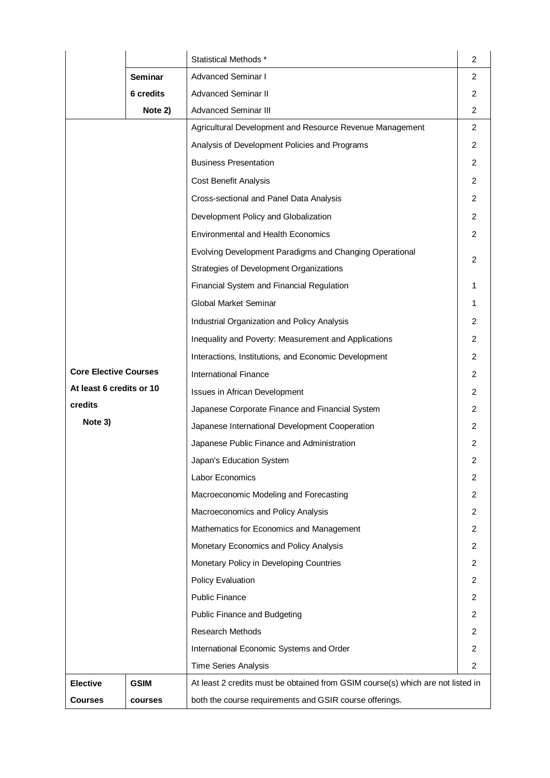|                              |             | Statistical Methods *                                                           | 2              |
|------------------------------|-------------|---------------------------------------------------------------------------------|----------------|
|                              | Seminar     | <b>Advanced Seminar I</b>                                                       | $\overline{2}$ |
|                              | 6 credits   | <b>Advanced Seminar II</b>                                                      | $\overline{2}$ |
|                              | Note 2)     | <b>Advanced Seminar III</b>                                                     | 2              |
|                              |             | Agricultural Development and Resource Revenue Management                        | $\overline{2}$ |
|                              |             | Analysis of Development Policies and Programs                                   | 2              |
|                              |             | <b>Business Presentation</b>                                                    | 2              |
|                              |             | Cost Benefit Analysis                                                           | 2              |
|                              |             | Cross-sectional and Panel Data Analysis                                         | 2              |
|                              |             | Development Policy and Globalization                                            | 2              |
|                              |             | <b>Environmental and Health Economics</b>                                       | 2              |
|                              |             | Evolving Development Paradigms and Changing Operational                         |                |
|                              |             | Strategies of Development Organizations                                         | 2              |
|                              |             | Financial System and Financial Regulation                                       |                |
|                              |             | Global Market Seminar                                                           | 1              |
|                              |             | Industrial Organization and Policy Analysis                                     | 2              |
|                              |             | Inequality and Poverty: Measurement and Applications                            | 2              |
|                              |             | Interactions, Institutions, and Economic Development                            | 2              |
| <b>Core Elective Courses</b> |             | <b>International Finance</b>                                                    | 2              |
| At least 6 credits or 10     |             | Issues in African Development                                                   | 2              |
| credits                      |             | Japanese Corporate Finance and Financial System                                 | 2              |
| Note 3)                      |             | Japanese International Development Cooperation                                  | 2              |
|                              |             | Japanese Public Finance and Administration                                      | 2              |
|                              |             | Japan's Education System                                                        | 2              |
|                              |             | Labor Economics                                                                 | 2              |
|                              |             | Macroeconomic Modeling and Forecasting                                          | 2              |
|                              |             | Macroeconomics and Policy Analysis                                              | 2              |
|                              |             | Mathematics for Economics and Management                                        | 2              |
|                              |             | Monetary Economics and Policy Analysis                                          | 2              |
|                              |             | Monetary Policy in Developing Countries                                         | 2              |
|                              |             | <b>Policy Evaluation</b>                                                        | 2              |
|                              |             | <b>Public Finance</b>                                                           | 2              |
|                              |             | Public Finance and Budgeting                                                    | 2              |
|                              |             | <b>Research Methods</b>                                                         | 2              |
|                              |             | International Economic Systems and Order                                        | 2              |
|                              |             | <b>Time Series Analysis</b>                                                     | 2              |
| <b>Elective</b>              | <b>GSIM</b> | At least 2 credits must be obtained from GSIM course(s) which are not listed in |                |
| <b>Courses</b>               | courses     | both the course requirements and GSIR course offerings.                         |                |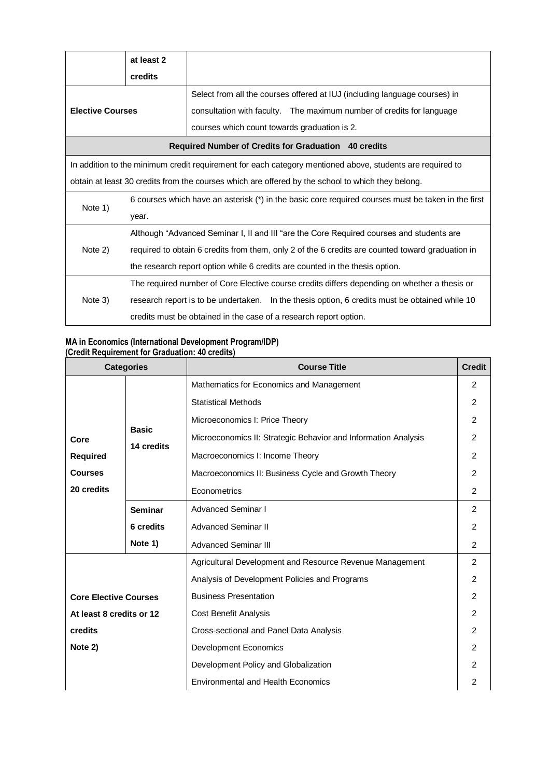|                         | at least 2 |                                                                                                           |  |  |
|-------------------------|------------|-----------------------------------------------------------------------------------------------------------|--|--|
|                         | credits    |                                                                                                           |  |  |
|                         |            | Select from all the courses offered at IUJ (including language courses) in                                |  |  |
| <b>Elective Courses</b> |            | consultation with faculty. The maximum number of credits for language                                     |  |  |
|                         |            | courses which count towards graduation is 2.                                                              |  |  |
|                         |            | Required Number of Credits for Graduation 40 credits                                                      |  |  |
|                         |            | In addition to the minimum credit requirement for each category mentioned above, students are required to |  |  |
|                         |            | obtain at least 30 credits from the courses which are offered by the school to which they belong.         |  |  |
|                         |            | 6 courses which have an asterisk (*) in the basic core required courses must be taken in the first        |  |  |
| Note 1)                 | year.      |                                                                                                           |  |  |
|                         |            | Although "Advanced Seminar I, II and III "are the Core Required courses and students are                  |  |  |
| Note 2)                 |            | required to obtain 6 credits from them, only 2 of the 6 credits are counted toward graduation in          |  |  |
|                         |            | the research report option while 6 credits are counted in the thesis option.                              |  |  |
|                         |            | The required number of Core Elective course credits differs depending on whether a thesis or              |  |  |
| Note 3)                 |            | research report is to be undertaken. In the thesis option, 6 credits must be obtained while 10            |  |  |
|                         |            | credits must be obtained in the case of a research report option.                                         |  |  |

## **MA in Economics (International Development Program/IDP) (Credit Requirement for Graduation: 40 credits)**

| <b>Categories</b>            |                | <b>Course Title</b>                                            | <b>Credit</b>  |
|------------------------------|----------------|----------------------------------------------------------------|----------------|
|                              |                | Mathematics for Economics and Management                       | $\mathfrak{p}$ |
|                              |                | <b>Statistical Methods</b>                                     | $\mathcal{P}$  |
|                              |                | Microeconomics I: Price Theory                                 | $\mathcal{P}$  |
| Core                         | <b>Basic</b>   | Microeconomics II: Strategic Behavior and Information Analysis | 2              |
| <b>Required</b>              | 14 credits     | Macroeconomics I: Income Theory                                | $\mathfrak{p}$ |
| <b>Courses</b>               |                | Macroeconomics II: Business Cycle and Growth Theory            | 2              |
| 20 credits                   |                | Econometrics                                                   | 2              |
|                              | <b>Seminar</b> | <b>Advanced Seminar I</b>                                      | 2              |
|                              | 6 credits      | <b>Advanced Seminar II</b>                                     | 2              |
|                              | Note 1)        | <b>Advanced Seminar III</b>                                    | $\mathcal{P}$  |
|                              |                | Agricultural Development and Resource Revenue Management       | 2              |
|                              |                | Analysis of Development Policies and Programs                  | $\mathcal{P}$  |
| <b>Core Elective Courses</b> |                | <b>Business Presentation</b>                                   | 2              |
| At least 8 credits or 12     |                | <b>Cost Benefit Analysis</b>                                   | 2              |
| credits                      |                | Cross-sectional and Panel Data Analysis                        | $\mathcal{P}$  |
| Note 2)                      |                | <b>Development Economics</b>                                   | 2              |
|                              |                | Development Policy and Globalization                           | 2              |
|                              |                | <b>Environmental and Health Economics</b>                      | 2              |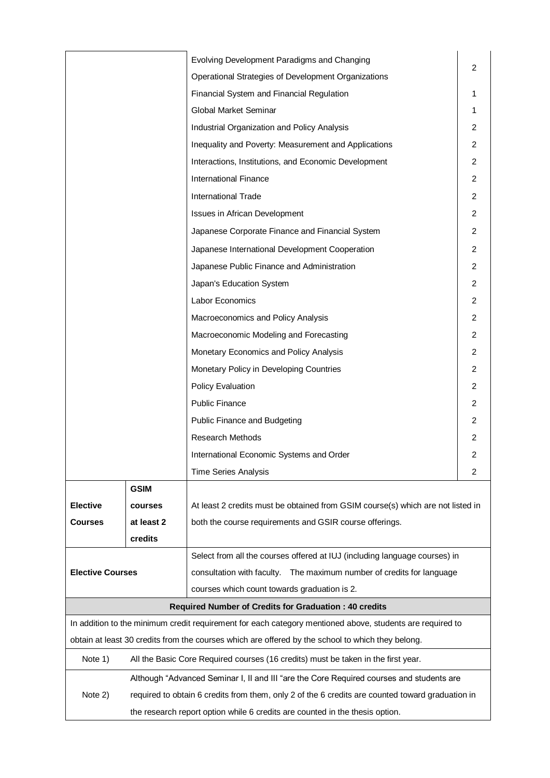|                         |             | Evolving Development Paradigms and Changing                                                               |                |
|-------------------------|-------------|-----------------------------------------------------------------------------------------------------------|----------------|
|                         |             | Operational Strategies of Development Organizations                                                       | $\overline{2}$ |
|                         |             | Financial System and Financial Regulation                                                                 | 1              |
|                         |             | Global Market Seminar                                                                                     | 1              |
|                         |             | Industrial Organization and Policy Analysis                                                               | $\overline{2}$ |
|                         |             | Inequality and Poverty: Measurement and Applications                                                      | $\overline{2}$ |
|                         |             | Interactions, Institutions, and Economic Development                                                      | $\overline{2}$ |
|                         |             | <b>International Finance</b>                                                                              | $\overline{2}$ |
|                         |             | <b>International Trade</b>                                                                                | $\overline{2}$ |
|                         |             | Issues in African Development                                                                             | 2              |
|                         |             | Japanese Corporate Finance and Financial System                                                           | $\overline{2}$ |
|                         |             | Japanese International Development Cooperation                                                            | $\overline{2}$ |
|                         |             | Japanese Public Finance and Administration                                                                | $\overline{2}$ |
|                         |             | Japan's Education System                                                                                  | $\overline{2}$ |
|                         |             | Labor Economics                                                                                           | $\overline{2}$ |
|                         |             | Macroeconomics and Policy Analysis                                                                        | $\overline{2}$ |
|                         |             | Macroeconomic Modeling and Forecasting                                                                    | 2              |
|                         |             | Monetary Economics and Policy Analysis                                                                    | 2              |
|                         |             | Monetary Policy in Developing Countries                                                                   | $\overline{2}$ |
|                         |             | <b>Policy Evaluation</b>                                                                                  | $\overline{2}$ |
|                         |             | <b>Public Finance</b>                                                                                     | 2              |
|                         |             | Public Finance and Budgeting                                                                              | $\overline{2}$ |
|                         |             | <b>Research Methods</b>                                                                                   | 2              |
|                         |             | International Economic Systems and Order                                                                  | 2              |
|                         |             | <b>Time Series Analysis</b>                                                                               | 2              |
|                         | <b>GSIM</b> |                                                                                                           |                |
| <b>Elective</b>         | courses     | At least 2 credits must be obtained from GSIM course(s) which are not listed in                           |                |
| <b>Courses</b>          | at least 2  | both the course requirements and GSIR course offerings.                                                   |                |
|                         | credits     |                                                                                                           |                |
|                         |             | Select from all the courses offered at IUJ (including language courses) in                                |                |
| <b>Elective Courses</b> |             | consultation with faculty.  The maximum number of credits for language                                    |                |
|                         |             | courses which count towards graduation is 2.                                                              |                |
|                         |             | <b>Required Number of Credits for Graduation: 40 credits</b>                                              |                |
|                         |             | In addition to the minimum credit requirement for each category mentioned above, students are required to |                |
|                         |             | obtain at least 30 credits from the courses which are offered by the school to which they belong.         |                |
| Note 1)                 |             | All the Basic Core Required courses (16 credits) must be taken in the first year.                         |                |
|                         |             | Although "Advanced Seminar I, II and III "are the Core Required courses and students are                  |                |
| Note 2)                 |             | required to obtain 6 credits from them, only 2 of the 6 credits are counted toward graduation in          |                |
|                         |             | the research report option while 6 credits are counted in the thesis option.                              |                |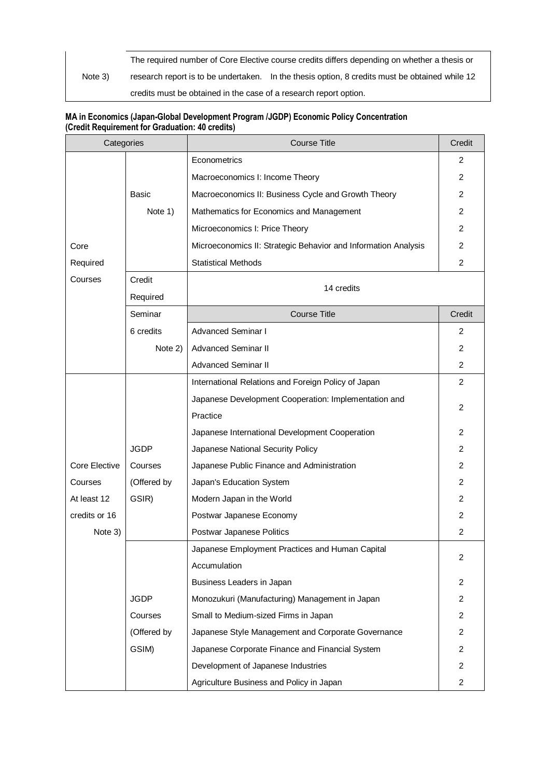Note 3) The required number of Core Elective course credits differs depending on whether a thesis or research report is to be undertaken. In the thesis option, 8 credits must be obtained while 12 credits must be obtained in the case of a research report option.

## **MA in Economics (Japan-Global Development Program /JGDP) Economic Policy Concentration (Credit Requirement for Graduation: 40 credits)**

| Categories    |             | <b>Course Title</b>                                            | Credit         |
|---------------|-------------|----------------------------------------------------------------|----------------|
|               |             | Econometrics                                                   | 2              |
|               |             | Macroeconomics I: Income Theory                                | 2              |
|               | Basic       | Macroeconomics II: Business Cycle and Growth Theory            | 2              |
|               | Note 1)     | Mathematics for Economics and Management                       | 2              |
|               |             | Microeconomics I: Price Theory                                 | 2              |
| Core          |             | Microeconomics II: Strategic Behavior and Information Analysis | 2              |
| Required      |             | <b>Statistical Methods</b>                                     | 2              |
| Courses       | Credit      |                                                                |                |
|               | Required    | 14 credits                                                     |                |
|               | Seminar     | <b>Course Title</b>                                            | Credit         |
|               | 6 credits   | <b>Advanced Seminar I</b>                                      | 2              |
|               | Note 2)     | <b>Advanced Seminar II</b>                                     | 2              |
|               |             | <b>Advanced Seminar II</b>                                     | 2              |
|               |             | International Relations and Foreign Policy of Japan            | 2              |
|               |             | Japanese Development Cooperation: Implementation and           | 2              |
|               |             | Practice                                                       |                |
|               |             | Japanese International Development Cooperation                 | 2              |
|               | <b>JGDP</b> | Japanese National Security Policy                              | 2              |
| Core Elective | Courses     | Japanese Public Finance and Administration                     | 2              |
| Courses       | (Offered by | Japan's Education System                                       | 2              |
| At least 12   | GSIR)       | Modern Japan in the World                                      | 2              |
| credits or 16 |             | Postwar Japanese Economy                                       | 2              |
| Note 3)       |             | Postwar Japanese Politics                                      | $\overline{2}$ |
|               |             | Japanese Employment Practices and Human Capital                | 2              |
|               |             | Accumulation                                                   |                |
|               |             | Business Leaders in Japan                                      | 2              |
|               | <b>JGDP</b> | Monozukuri (Manufacturing) Management in Japan                 | $\overline{2}$ |
|               | Courses     | Small to Medium-sized Firms in Japan                           | 2              |
|               | (Offered by | Japanese Style Management and Corporate Governance             | 2              |
|               | GSIM)       | Japanese Corporate Finance and Financial System                | 2              |
|               |             | Development of Japanese Industries                             | 2              |
|               |             | Agriculture Business and Policy in Japan                       | $\overline{2}$ |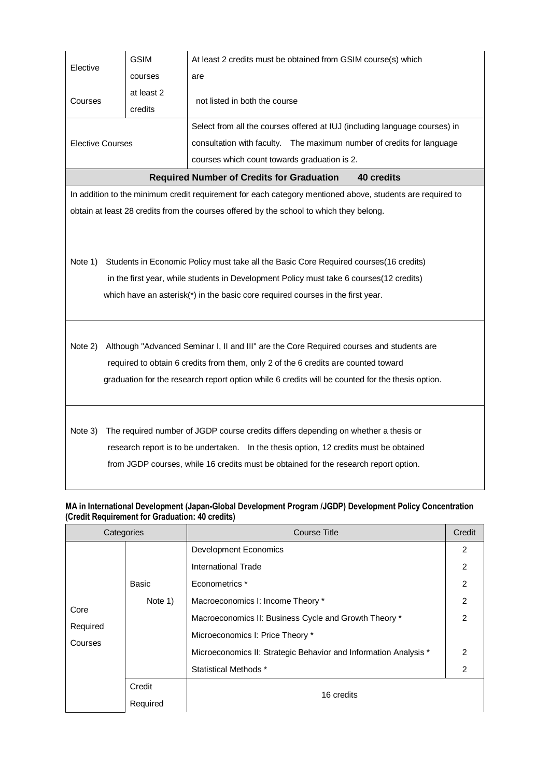| Elective                                                                                 | <b>GSIM</b>                                                                        | At least 2 credits must be obtained from GSIM course(s) which                                             |
|------------------------------------------------------------------------------------------|------------------------------------------------------------------------------------|-----------------------------------------------------------------------------------------------------------|
|                                                                                          | courses                                                                            | are                                                                                                       |
| Courses                                                                                  | at least 2<br>credits                                                              | not listed in both the course                                                                             |
|                                                                                          |                                                                                    | Select from all the courses offered at IUJ (including language courses) in                                |
| <b>Elective Courses</b>                                                                  |                                                                                    | consultation with faculty. The maximum number of credits for language                                     |
|                                                                                          |                                                                                    | courses which count towards graduation is 2.                                                              |
|                                                                                          |                                                                                    | <b>Required Number of Credits for Graduation</b><br>40 credits                                            |
|                                                                                          |                                                                                    | In addition to the minimum credit requirement for each category mentioned above, students are required to |
|                                                                                          |                                                                                    | obtain at least 28 credits from the courses offered by the school to which they belong.                   |
|                                                                                          |                                                                                    |                                                                                                           |
|                                                                                          |                                                                                    |                                                                                                           |
| Note 1)                                                                                  |                                                                                    | Students in Economic Policy must take all the Basic Core Required courses(16 credits)                     |
| in the first year, while students in Development Policy must take 6 courses (12 credits) |                                                                                    |                                                                                                           |
| which have an asterisk(*) in the basic core required courses in the first year.          |                                                                                    |                                                                                                           |
|                                                                                          |                                                                                    |                                                                                                           |
|                                                                                          |                                                                                    |                                                                                                           |
| Note 2)                                                                                  |                                                                                    | Although "Advanced Seminar I, II and III" are the Core Required courses and students are                  |
|                                                                                          | required to obtain 6 credits from them, only 2 of the 6 credits are counted toward |                                                                                                           |
|                                                                                          |                                                                                    | graduation for the research report option while 6 credits will be counted for the thesis option.          |
|                                                                                          |                                                                                    |                                                                                                           |
|                                                                                          |                                                                                    |                                                                                                           |
| Note 3)                                                                                  |                                                                                    | The required number of JGDP course credits differs depending on whether a thesis or                       |
|                                                                                          |                                                                                    | research report is to be undertaken. In the thesis option, 12 credits must be obtained                    |
|                                                                                          |                                                                                    | from JGDP courses, while 16 credits must be obtained for the research report option.                      |
|                                                                                          |                                                                                    |                                                                                                           |

## **MA in International Development (Japan-Global Development Program /JGDP) Development Policy Concentration (Credit Requirement for Graduation: 40 credits)**

| Categories          |          | <b>Course Title</b>                                              | Credit         |  |
|---------------------|----------|------------------------------------------------------------------|----------------|--|
|                     |          | <b>Development Economics</b>                                     | 2              |  |
|                     |          | International Trade                                              | 2              |  |
|                     | Basic    | Econometrics *                                                   | 2              |  |
|                     | Note 1)  | Macroeconomics I: Income Theory *                                | $\mathfrak{p}$ |  |
| Core                |          | Macroeconomics II: Business Cycle and Growth Theory *            | $\mathcal{P}$  |  |
| Required<br>Courses |          | Microeconomics I: Price Theory *                                 |                |  |
|                     |          | Microeconomics II: Strategic Behavior and Information Analysis * | 2              |  |
|                     |          | Statistical Methods *                                            | 2              |  |
|                     | Credit   |                                                                  |                |  |
|                     | Required | 16 credits                                                       |                |  |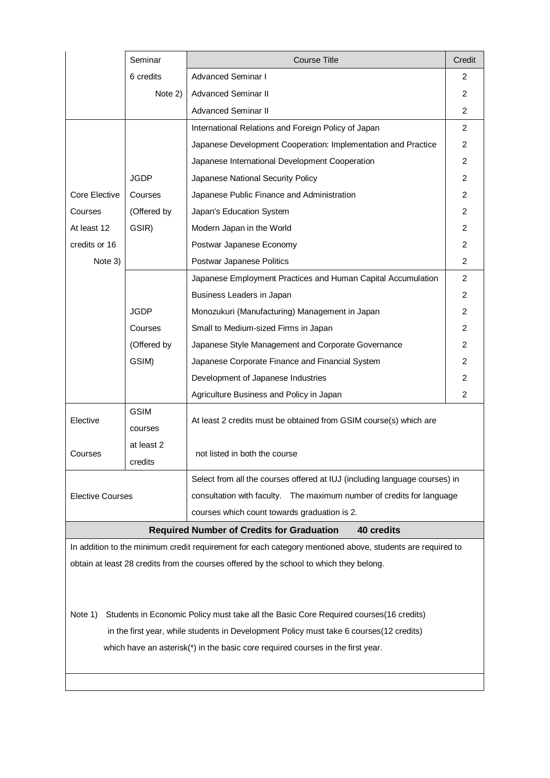|                                                                                                           | Seminar     | <b>Course Title</b>                                                        | Credit         |  |
|-----------------------------------------------------------------------------------------------------------|-------------|----------------------------------------------------------------------------|----------------|--|
|                                                                                                           | 6 credits   | <b>Advanced Seminar I</b>                                                  | 2              |  |
|                                                                                                           | Note 2)     | <b>Advanced Seminar II</b>                                                 | $\overline{2}$ |  |
|                                                                                                           |             | <b>Advanced Seminar II</b>                                                 | 2              |  |
|                                                                                                           |             | International Relations and Foreign Policy of Japan                        | $\overline{2}$ |  |
|                                                                                                           |             | Japanese Development Cooperation: Implementation and Practice              | $\overline{2}$ |  |
|                                                                                                           |             | Japanese International Development Cooperation                             | $\overline{2}$ |  |
|                                                                                                           | <b>JGDP</b> | Japanese National Security Policy                                          | 2              |  |
| Core Elective                                                                                             | Courses     | Japanese Public Finance and Administration                                 | $\overline{2}$ |  |
| Courses                                                                                                   | (Offered by | Japan's Education System                                                   | $\overline{2}$ |  |
| At least 12                                                                                               | GSIR)       | Modern Japan in the World                                                  | $\overline{2}$ |  |
| credits or 16                                                                                             |             | Postwar Japanese Economy                                                   | $\overline{2}$ |  |
| Note 3)                                                                                                   |             | Postwar Japanese Politics                                                  | $\overline{2}$ |  |
|                                                                                                           |             | Japanese Employment Practices and Human Capital Accumulation               | $\overline{2}$ |  |
|                                                                                                           |             | Business Leaders in Japan                                                  | $\overline{2}$ |  |
|                                                                                                           | <b>JGDP</b> | Monozukuri (Manufacturing) Management in Japan                             | $\overline{2}$ |  |
|                                                                                                           | Courses     | Small to Medium-sized Firms in Japan                                       | $\overline{2}$ |  |
|                                                                                                           | (Offered by | Japanese Style Management and Corporate Governance                         | 2              |  |
|                                                                                                           | GSIM)       | Japanese Corporate Finance and Financial System                            | $\overline{2}$ |  |
|                                                                                                           |             | Development of Japanese Industries                                         | 2              |  |
|                                                                                                           |             | Agriculture Business and Policy in Japan                                   | $\overline{2}$ |  |
| Elective                                                                                                  | <b>GSIM</b> |                                                                            |                |  |
|                                                                                                           | courses     | At least 2 credits must be obtained from GSIM course(s) which are          |                |  |
| Courses                                                                                                   | at least 2  | not listed in both the course                                              |                |  |
|                                                                                                           | credits     |                                                                            |                |  |
|                                                                                                           |             | Select from all the courses offered at IUJ (including language courses) in |                |  |
| <b>Elective Courses</b>                                                                                   |             | consultation with faculty.  The maximum number of credits for language     |                |  |
|                                                                                                           |             | courses which count towards graduation is 2.                               |                |  |
| <b>Required Number of Credits for Graduation</b><br>40 credits                                            |             |                                                                            |                |  |
| In addition to the minimum credit requirement for each category mentioned above, students are required to |             |                                                                            |                |  |

obtain at least 28 credits from the courses offered by the school to which they belong.

Note 1) Students in Economic Policy must take all the Basic Core Required courses(16 credits) in the first year, while students in Development Policy must take 6 courses(12 credits) which have an asterisk(\*) in the basic core required courses in the first year.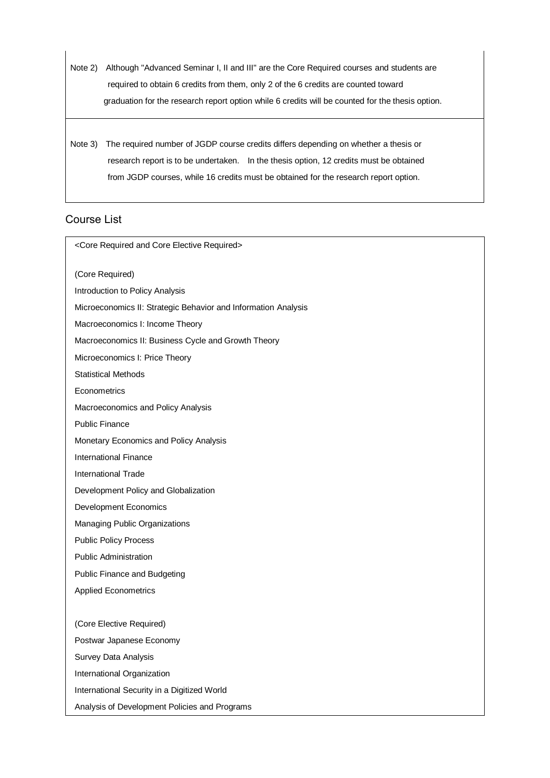Note 2) Although "Advanced Seminar I, II and III" are the Core Required courses and students are required to obtain 6 credits from them, only 2 of the 6 credits are counted toward graduation for the research report option while 6 credits will be counted for the thesis option.

Note 3) The required number of JGDP course credits differs depending on whether a thesis or research report is to be undertaken. In the thesis option, 12 credits must be obtained from JGDP courses, while 16 credits must be obtained for the research report option.

# Course List

<Core Required and Core Elective Required> (Core Required) Introduction to Policy Analysis Microeconomics II: Strategic Behavior and Information Analysis Macroeconomics I: Income Theory Macroeconomics II: Business Cycle and Growth Theory Microeconomics I: Price Theory Statistical Methods **Econometrics** Macroeconomics and Policy Analysis Public Finance Monetary Economics and Policy Analysis International Finance International Trade Development Policy and Globalization Development Economics Managing Public Organizations Public Policy Process Public Administration Public Finance and Budgeting Applied Econometrics (Core Elective Required) Postwar Japanese Economy Survey Data Analysis International Organization International Security in a Digitized World Analysis of Development Policies and Programs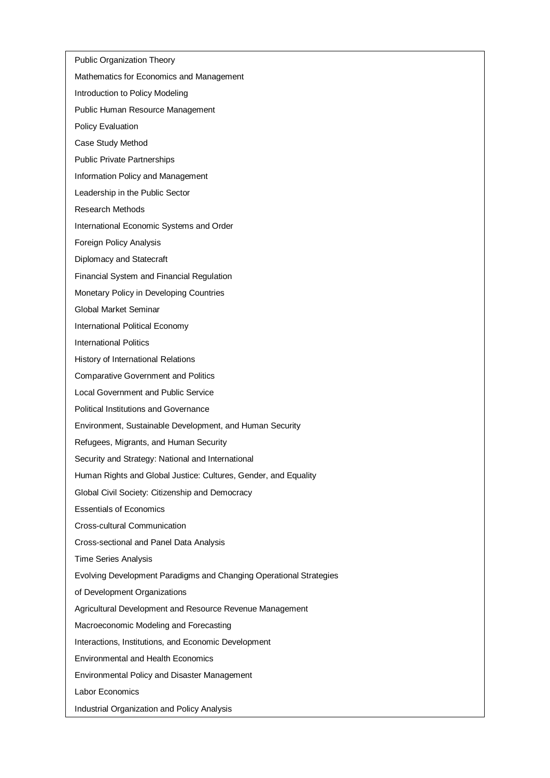- Public Organization Theory
- Mathematics for Economics and Management
- Introduction to Policy Modeling
- Public Human Resource Management
- Policy Evaluation
- Case Study Method
- Public Private Partnerships
- Information Policy and Management
- Leadership in the Public Sector
- Research Methods
- International Economic Systems and Order
- Foreign Policy Analysis
- Diplomacy and Statecraft
- Financial System and Financial Regulation
- Monetary Policy in Developing Countries
- Global Market Seminar
- International Political Economy
- International Politics
- History of International Relations
- Comparative Government and Politics
- Local Government and Public Service
- Political Institutions and Governance
- Environment, Sustainable Development, and Human Security
- Refugees, Migrants, and Human Security
- Security and Strategy: National and International
- Human Rights and Global Justice: Cultures, Gender, and Equality
- Global Civil Society: Citizenship and Democracy
- Essentials of Economics
- Cross-cultural Communication
- Cross-sectional and Panel Data Analysis
- Time Series Analysis
- Evolving Development Paradigms and Changing Operational Strategies
- of Development Organizations
- Agricultural Development and Resource Revenue Management
- Macroeconomic Modeling and Forecasting
- Interactions, Institutions, and Economic Development
- Environmental and Health Economics
- Environmental Policy and Disaster Management
- Labor Economics
- Industrial Organization and Policy Analysis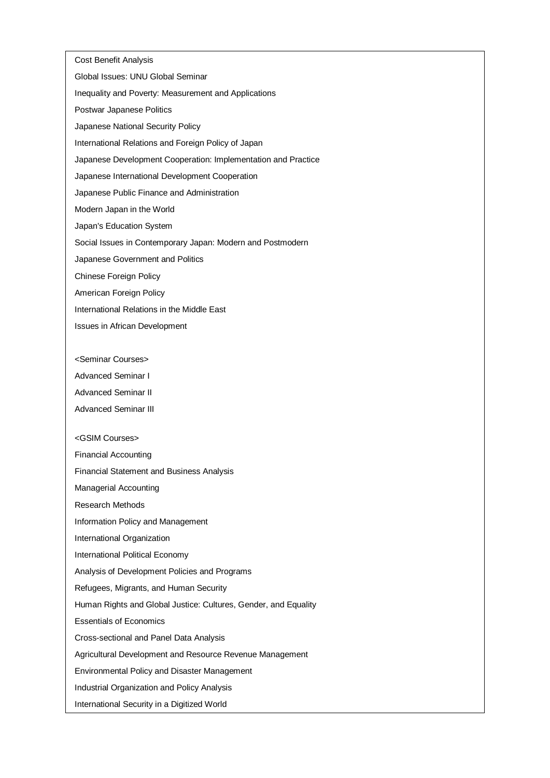Cost Benefit Analysis Global Issues: UNU Global Seminar Inequality and Poverty: Measurement and Applications Postwar Japanese Politics Japanese National Security Policy International Relations and Foreign Policy of Japan Japanese Development Cooperation: Implementation and Practice Japanese International Development Cooperation Japanese Public Finance and Administration Modern Japan in the World Japan's Education System Social Issues in Contemporary Japan: Modern and Postmodern Japanese Government and Politics Chinese Foreign Policy American Foreign Policy International Relations in the Middle East Issues in African Development <Seminar Courses> Advanced Seminar I

Advanced Seminar II

Advanced Seminar III

#### <GSIM Courses>

Financial Accounting

Financial Statement and Business Analysis

Managerial Accounting

Research Methods

Information Policy and Management

International Organization

International Political Economy

Analysis of Development Policies and Programs

Refugees, Migrants, and Human Security

Human Rights and Global Justice: Cultures, Gender, and Equality

Essentials of Economics

Cross-sectional and Panel Data Analysis

Agricultural Development and Resource Revenue Management

Environmental Policy and Disaster Management

Industrial Organization and Policy Analysis

International Security in a Digitized World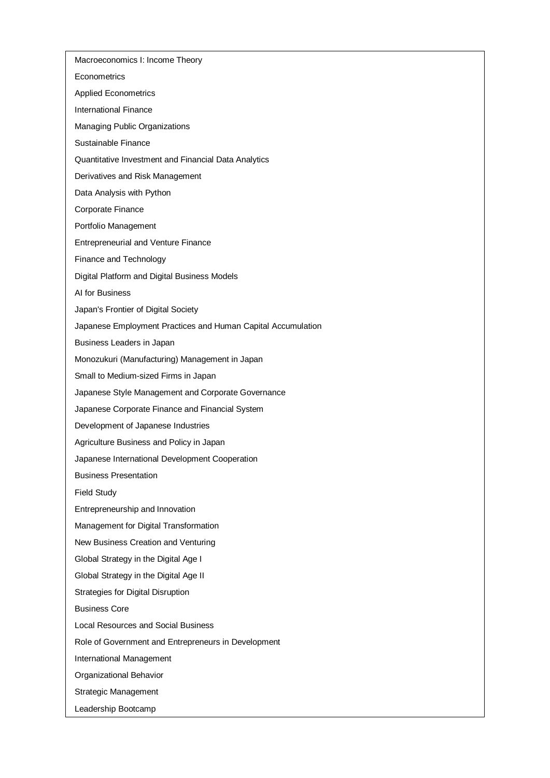Macroeconomics I: Income Theory

**Econometrics** 

Applied Econometrics

International Finance

Managing Public Organizations

Sustainable Finance

Quantitative Investment and Financial Data Analytics

Derivatives and Risk Management

Data Analysis with Python

Corporate Finance

Portfolio Management

Entrepreneurial and Venture Finance

Finance and Technology

Digital Platform and Digital Business Models

AI for Business

Japan's Frontier of Digital Society

Japanese Employment Practices and Human Capital Accumulation

Business Leaders in Japan

Monozukuri (Manufacturing) Management in Japan

Small to Medium-sized Firms in Japan

Japanese Style Management and Corporate Governance

Japanese Corporate Finance and Financial System

Development of Japanese Industries

Agriculture Business and Policy in Japan

Japanese International Development Cooperation

Business Presentation

Field Study

Entrepreneurship and Innovation

Management for Digital Transformation

New Business Creation and Venturing

Global Strategy in the Digital Age I

Global Strategy in the Digital Age II

Strategies for Digital Disruption

Business Core

Local Resources and Social Business

Role of Government and Entrepreneurs in Development

International Management

Organizational Behavior

Strategic Management

Leadership Bootcamp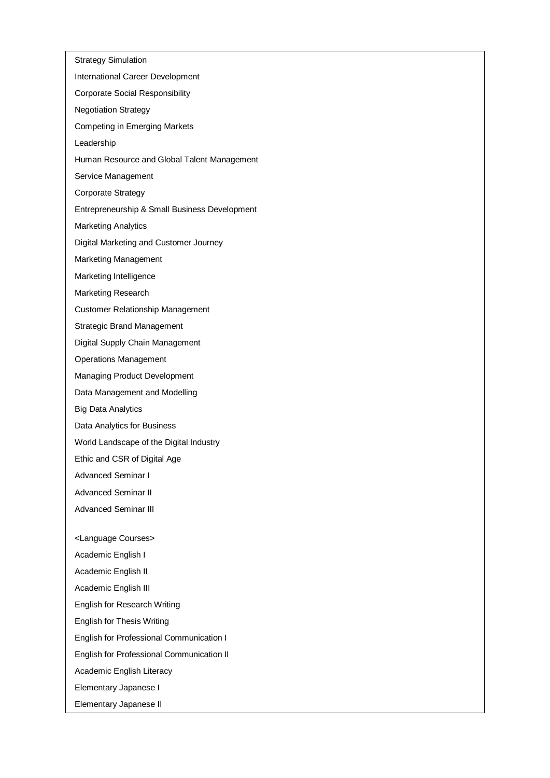Strategy Simulation International Career Development Corporate Social Responsibility Negotiation Strategy Competing in Emerging Markets Leadership Human Resource and Global Talent Management Service Management Corporate Strategy Entrepreneurship & Small Business Development Marketing Analytics Digital Marketing and Customer Journey Marketing Management Marketing Intelligence Marketing Research Customer Relationship Management Strategic Brand Management Digital Supply Chain Management Operations Management Managing Product Development Data Management and Modelling Big Data Analytics Data Analytics for Business World Landscape of the Digital Industry Ethic and CSR of Digital Age Advanced Seminar I Advanced Seminar II Advanced Seminar III <Language Courses> Academic English I Academic English II Academic English III English for Research Writing English for Thesis Writing English for Professional Communication I English for Professional Communication II Academic English Literacy Elementary Japanese I Elementary Japanese II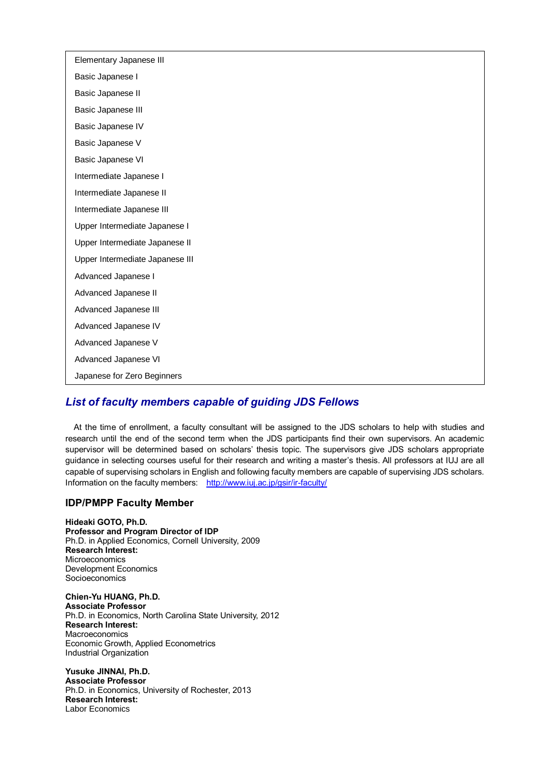| Elementary Japanese III         |
|---------------------------------|
| Basic Japanese I                |
| Basic Japanese II               |
| Basic Japanese III              |
| Basic Japanese IV               |
| Basic Japanese V                |
| Basic Japanese VI               |
| Intermediate Japanese I         |
| Intermediate Japanese II        |
| Intermediate Japanese III       |
| Upper Intermediate Japanese I   |
| Upper Intermediate Japanese II  |
| Upper Intermediate Japanese III |
| Advanced Japanese I             |
| Advanced Japanese II            |
| Advanced Japanese III           |
| Advanced Japanese IV            |
| Advanced Japanese V             |
| Advanced Japanese VI            |
| Japanese for Zero Beginners     |

# *List of faculty members capable of guiding JDS Fellows*

At the time of enrollment, a faculty consultant will be assigned to the JDS scholars to help with studies and research until the end of the second term when the JDS participants find their own supervisors. An academic supervisor will be determined based on scholars' thesis topic. The supervisors give JDS scholars appropriate guidance in selecting courses useful for their research and writing a master's thesis. All professors at IUJ are all capable of supervising scholars in English and following faculty members are capable of supervising JDS scholars. Information on the faculty members: <http://www.iuj.ac.jp/gsir/ir-faculty/>

# **IDP/PMPP Faculty Member**

**Hideaki GOTO, Ph.D. Professor and Program Director of IDP** Ph.D. in Applied Economics, Cornell University, 2009 **Research Interest:** Microeconomics Development Economics Socioeconomics

**Chien-Yu HUANG, Ph.D. Associate Professor** Ph.D. in Economics, North Carolina State University, 2012 **Research Interest:** Macroeconomics Economic Growth, Applied Econometrics Industrial Organization

**Yusuke JINNAI, Ph.D. Associate Professor** Ph.D. in Economics, University of Rochester, 2013 **Research Interest:** Labor Economics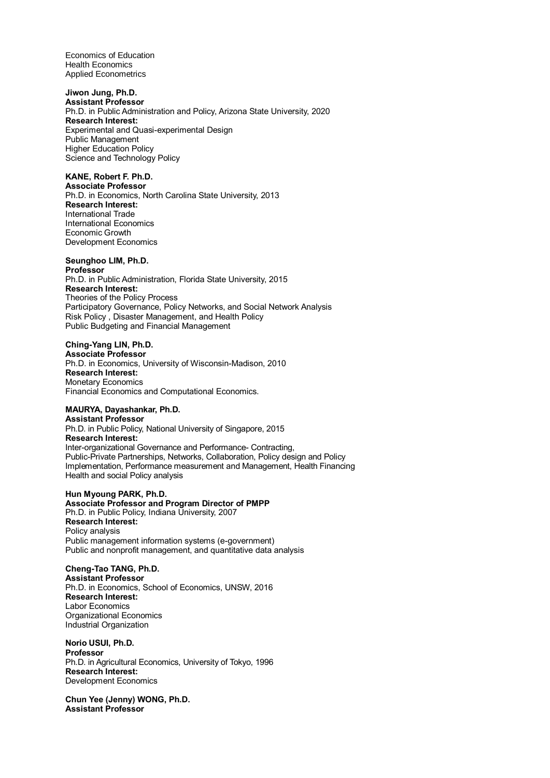Economics of Education Health Economics Applied Econometrics

**Jiwon Jung, Ph.D. Assistant Professor** Ph.D. in Public Administration and Policy, Arizona State University, 2020 **Research Interest:** Experimental and Quasi-experimental Design Public Management Higher Education Policy Science and Technology Policy

**KANE, Robert F. Ph.D. Associate Professor** Ph.D. in Economics, North Carolina State University, 2013 **Research Interest:** International Trade International Economics Economic Growth Development Economics

# **Seunghoo LIM, Ph.D.**

**Professor** Ph.D. in Public Administration, Florida State University, 2015 **Research Interest:** Theories of the Policy Process Participatory Governance, Policy Networks, and Social Network Analysis Risk Policy , Disaster Management, and Health Policy Public Budgeting and Financial Management

### **Ching-Yang LIN, Ph.D.**

**Associate Professor** Ph.D. in Economics, University of Wisconsin-Madison, 2010 **Research Interest:** Monetary Economics Financial Economics and Computational Economics.

# **MAURYA, Dayashankar, Ph.D.**

**Assistant Professor** Ph.D. in Public Policy, National University of Singapore, 2015 **Research Interest:** Inter-organizational Governance and Performance- Contracting, Public-Private Partnerships, Networks, Collaboration, Policy design and Policy Implementation, Performance measurement and Management, Health Financing Health and social Policy analysis

**Hun Myoung PARK, Ph.D. Associate Professor and Program Director of PMPP** Ph.D. in Public Policy, Indiana University, 2007 **Research Interest:** Policy analysis Public management information systems (e-government) Public and nonprofit management, and quantitative data analysis

## **Cheng-Tao TANG, Ph.D.**

**Assistant Professor** Ph.D. in Economics, School of Economics, UNSW, 2016 **Research Interest:** Labor Economics Organizational Economics Industrial Organization

**Norio USUI, Ph.D. Professor** Ph.D. in Agricultural Economics, University of Tokyo, 1996 **Research Interest:** Development Economics

**Chun Yee (Jenny) WONG, Ph.D. Assistant Professor**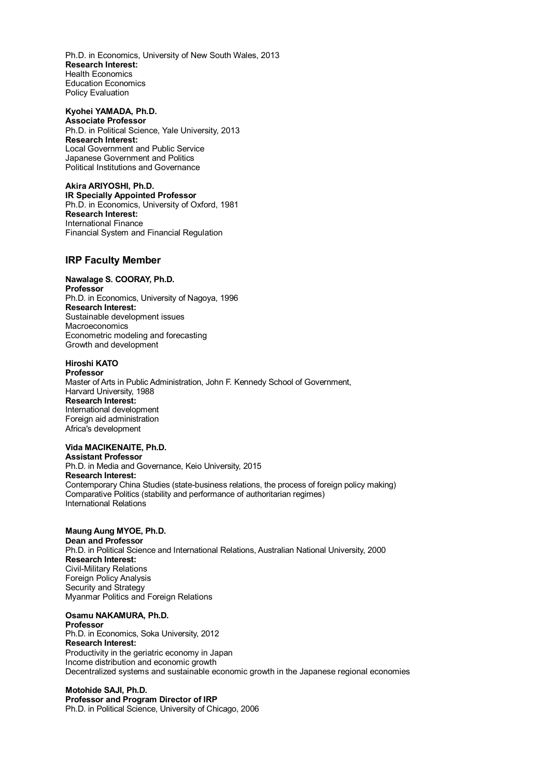Ph.D. in Economics, University of New South Wales, 2013 **Research Interest:** Health Economics Education Economics Policy Evaluation

**Kyohei YAMADA, Ph.D. Associate Professor** Ph.D. in Political Science, Yale University, 2013 **Research Interest:** Local Government and Public Service Japanese Government and Politics Political Institutions and Governance

**Akira ARIYOSHI, Ph.D. IR Specially Appointed Professor** Ph.D. in Economics, University of Oxford, 1981 **Research Interest:** International Finance Financial System and Financial Regulation

## **IRP Faculty Member**

## **Nawalage S. COORAY, Ph.D.**

**Professor** Ph.D. in Economics, University of Nagoya, 1996 **Research Interest:** Sustainable development issues **Macroeconomics** Econometric modeling and forecasting Growth and development

## **Hiroshi KATO**

**Professor** Master of Arts in Public Administration, John F. Kennedy School of Government, Harvard University, 1988 **Research Interest:** International development Foreign aid administration Africa's development

#### **Vida MACIKENAITE, Ph.D.**

**Assistant Professor** Ph.D. in Media and Governance, Keio University, 2015 **Research Interest:** Contemporary China Studies (state-business relations, the process of foreign policy making) Comparative Politics (stability and performance of authoritarian regimes) International Relations

### **Maung Aung MYOE, Ph.D.**

**Dean and Professor** Ph.D. in Political Science and International Relations, Australian National University, 2000 **Research Interest:** Civil-Military Relations Foreign Policy Analysis Security and Strategy Myanmar Politics and Foreign Relations

## **Osamu NAKAMURA, Ph.D.**

**Professor** Ph.D. in Economics, Soka University, 2012 **Research Interest:** Productivity in the geriatric economy in Japan Income distribution and economic growth Decentralized systems and sustainable economic growth in the Japanese regional economies

## **Motohide SAJI, Ph.D.**

**Professor and Program Director of IRP** Ph.D. in Political Science, University of Chicago, 2006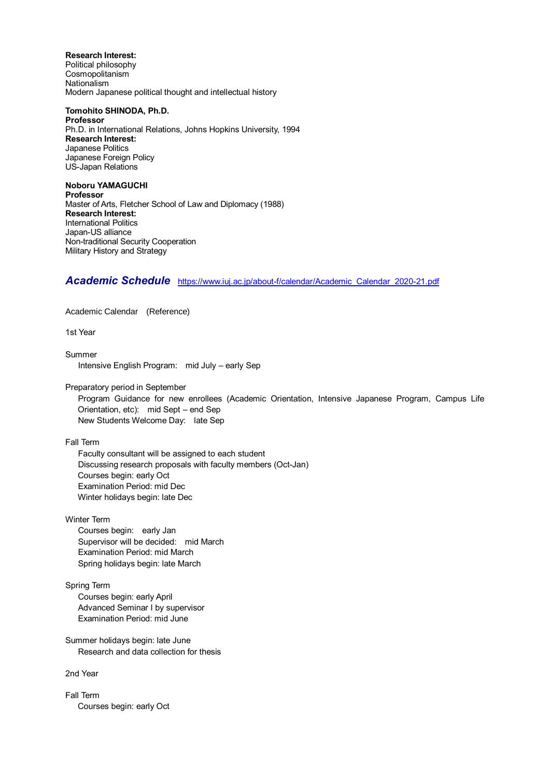**Research Interest:** Political philosophy Cosmopolitanism Nationalism Modern Japanese political thought and intellectual history

**Tomohito SHINODA, Ph.D. Professor** Ph.D. in International Relations, Johns Hopkins University, 1994 **Research Interest:** Japanese Politics Japanese Foreign Policy US-Japan Relations

**Noboru YAMAGUCHI Professor** Master of Arts, Fletcher School of Law and Diplomacy (1988) **Research Interest:** International Politics Japan-US alliance Non-traditional Security Cooperation Military History and Strategy

## *Academic Schedule* [https://www.iuj.ac.jp/about-f/calendar/Academic\\_Calendar\\_2020-21.pdf](https://www.iuj.ac.jp/about-f/calendar/Academic_Calendar_2020-21.pdf)

Academic Calendar (Reference)

1st Year

Summer Intensive English Program: mid July – early Sep

Preparatory period in September

 Program Guidance for new enrollees (Academic Orientation, Intensive Japanese Program, Campus Life Orientation, etc): mid Sept – end Sep New Students Welcome Day: late Sep

Fall Term

 Faculty consultant will be assigned to each student Discussing research proposals with faculty members (Oct-Jan) Courses begin: early Oct Examination Period: mid Dec Winter holidays begin: late Dec

Winter Term

 Courses begin: early Jan Supervisor will be decided: mid March Examination Period: mid March Spring holidays begin: late March

Spring Term

 Courses begin: early April Advanced Seminar I by supervisor Examination Period: mid June

Summer holidays begin: late June Research and data collection for thesis

2nd Year

Fall Term Courses begin: early Oct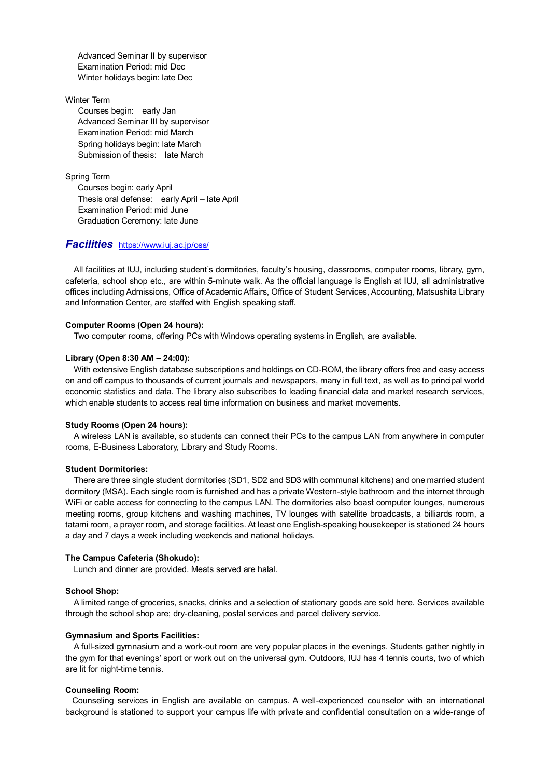Advanced Seminar II by supervisor Examination Period: mid Dec Winter holidays begin: late Dec

#### Winter Term

 Courses begin: early Jan Advanced Seminar III by supervisor Examination Period: mid March Spring holidays begin: late March Submission of thesis: late March

Spring Term

Courses begin: early April Thesis oral defense: early April – late April Examination Period: mid June Graduation Ceremony: late June

## *Facilities* <https://www.iuj.ac.jp/oss/>

All facilities at IUJ, including student's dormitories, faculty's housing, classrooms, computer rooms, library, gym, cafeteria, school shop etc., are within 5-minute walk. As the official language is English at IUJ, all administrative offices including Admissions, Office of Academic Affairs, Office of Student Services, Accounting, Matsushita Library and Information Center, are staffed with English speaking staff.

#### **Computer Rooms (Open 24 hours):**

Two computer rooms, offering PCs with Windows operating systems in English, are available.

#### **Library (Open 8:30 AM – 24:00):**

With extensive English database subscriptions and holdings on CD-ROM, the library offers free and easy access on and off campus to thousands of current journals and newspapers, many in full text, as well as to principal world economic statistics and data. The library also subscribes to leading financial data and market research services, which enable students to access real time information on business and market movements.

#### **Study Rooms (Open 24 hours):**

A wireless LAN is available, so students can connect their PCs to the campus LAN from anywhere in computer rooms, E-Business Laboratory, Library and Study Rooms.

#### **Student Dormitories:**

There are three single student dormitories (SD1, SD2 and SD3 with communal kitchens) and one married student dormitory (MSA). Each single room is furnished and has a private Western-style bathroom and the internet through WiFi or cable access for connecting to the campus LAN. The dormitories also boast computer lounges, numerous meeting rooms, group kitchens and washing machines, TV lounges with satellite broadcasts, a billiards room, a tatami room, a prayer room, and storage facilities. At least one English-speaking housekeeper is stationed 24 hours a day and 7 days a week including weekends and national holidays.

#### **The Campus Cafeteria (Shokudo):**

Lunch and dinner are provided. Meats served are halal.

## **School Shop:**

A limited range of groceries, snacks, drinks and a selection of stationary goods are sold here. Services available through the school shop are; dry-cleaning, postal services and parcel delivery service.

#### **Gymnasium and Sports Facilities:**

A full-sized gymnasium and a work-out room are very popular places in the evenings. Students gather nightly in the gym for that evenings' sport or work out on the universal gym. Outdoors, IUJ has 4 tennis courts, two of which are lit for night-time tennis.

#### **Counseling Room:**

Counseling services in English are available on campus. A well-experienced counselor with an international background is stationed to support your campus life with private and confidential consultation on a wide-range of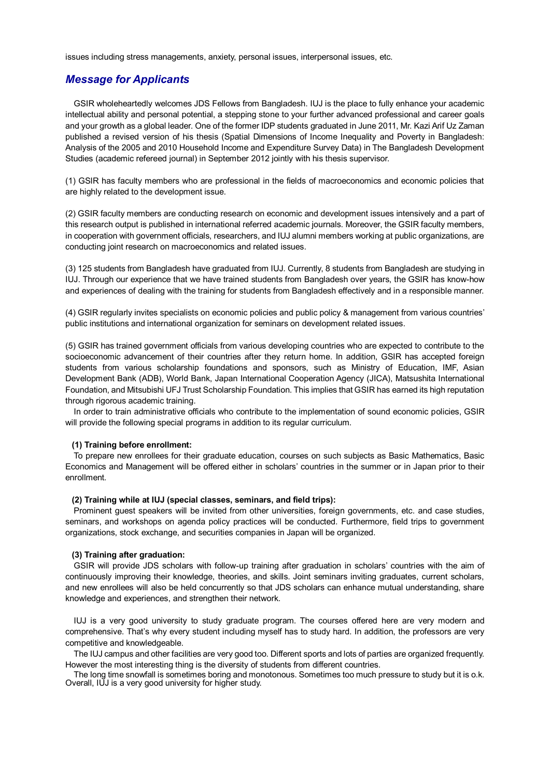issues including stress managements, anxiety, personal issues, interpersonal issues, etc.

# *Message for Applicants*

GSIR wholeheartedly welcomes JDS Fellows from Bangladesh. IUJ is the place to fully enhance your academic intellectual ability and personal potential, a stepping stone to your further advanced professional and career goals and your growth as a global leader. One of the former IDP students graduated in June 2011, Mr. Kazi Arif Uz Zaman published a revised version of his thesis (Spatial Dimensions of Income Inequality and Poverty in Bangladesh: Analysis of the 2005 and 2010 Household Income and Expenditure Survey Data) in The Bangladesh Development Studies (academic refereed journal) in September 2012 jointly with his thesis supervisor.

(1) GSIR has faculty members who are professional in the fields of macroeconomics and economic policies that are highly related to the development issue.

(2) GSIR faculty members are conducting research on economic and development issues intensively and a part of this research output is published in international referred academic journals. Moreover, the GSIR faculty members, in cooperation with government officials, researchers, and IUJ alumni members working at public organizations, are conducting joint research on macroeconomics and related issues.

(3) 125 students from Bangladesh have graduated from IUJ. Currently, 8 students from Bangladesh are studying in IUJ. Through our experience that we have trained students from Bangladesh over years, the GSIR has know-how and experiences of dealing with the training for students from Bangladesh effectively and in a responsible manner.

(4) GSIR regularly invites specialists on economic policies and public policy & management from various countries' public institutions and international organization for seminars on development related issues.

(5) GSIR has trained government officials from various developing countries who are expected to contribute to the socioeconomic advancement of their countries after they return home. In addition, GSIR has accepted foreign students from various scholarship foundations and sponsors, such as Ministry of Education, IMF, Asian Development Bank (ADB), World Bank, Japan International Cooperation Agency (JICA), Matsushita International Foundation, and Mitsubishi UFJ Trust Scholarship Foundation. This implies that GSIR has earned its high reputation through rigorous academic training.

In order to train administrative officials who contribute to the implementation of sound economic policies, GSIR will provide the following special programs in addition to its regular curriculum.

#### **(1) Training before enrollment:**

To prepare new enrollees for their graduate education, courses on such subjects as Basic Mathematics, Basic Economics and Management will be offered either in scholars' countries in the summer or in Japan prior to their enrollment.

#### **(2) Training while at IUJ (special classes, seminars, and field trips):**

Prominent guest speakers will be invited from other universities, foreign governments, etc. and case studies, seminars, and workshops on agenda policy practices will be conducted. Furthermore, field trips to government organizations, stock exchange, and securities companies in Japan will be organized.

#### **(3) Training after graduation:**

GSIR will provide JDS scholars with follow-up training after graduation in scholars' countries with the aim of continuously improving their knowledge, theories, and skills. Joint seminars inviting graduates, current scholars, and new enrollees will also be held concurrently so that JDS scholars can enhance mutual understanding, share knowledge and experiences, and strengthen their network.

IUJ is a very good university to study graduate program. The courses offered here are very modern and comprehensive. That's why every student including myself has to study hard. In addition, the professors are very competitive and knowledgeable.

 The IUJ campus and other facilities are very good too. Different sports and lots of parties are organized frequently. However the most interesting thing is the diversity of students from different countries.

The long time snowfall is sometimes boring and monotonous. Sometimes too much pressure to study but it is o.k. Overall, IUJ is a very good university for higher study.